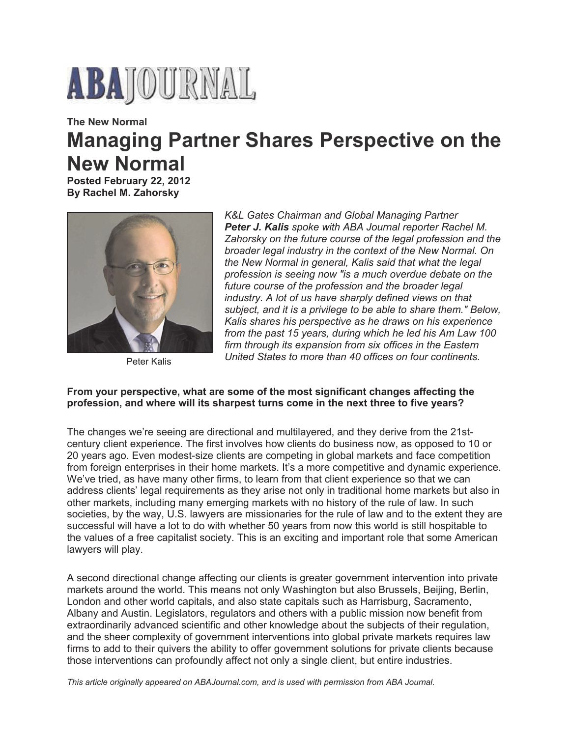

# **The New Normal Managing Partner Shares Perspective on the New Normal**

**Posted February 22, 2012 By Rachel M. Zahorsky**



Peter Kalis

*K&L Gates Chairman and Global Managing Partner Peter J. Kalis spoke with ABA Journal reporter Rachel M. Zahorsky on the future course of the legal profession and the broader legal industry in the context of the New Normal. On the New Normal in general, Kalis said that what the legal profession is seeing now "is a much overdue debate on the future course of the profession and the broader legal industry. A lot of us have sharply defined views on that subject, and it is a privilege to be able to share them." Below, Kalis shares his perspective as he draws on his experience from the past 15 years, during which he led his Am Law 100 firm through its expansion from six offices in the Eastern United States to more than 40 offices on four continents.*

## **From your perspective, what are some of the most significant changes affecting the profession, and where will its sharpest turns come in the next three to five years?**

The changes we're seeing are directional and multilayered, and they derive from the 21stcentury client experience. The first involves how clients do business now, as opposed to 10 or 20 years ago. Even modest-size clients are competing in global markets and face competition from foreign enterprises in their home markets. It's a more competitive and dynamic experience. We've tried, as have many other firms, to learn from that client experience so that we can address clients' legal requirements as they arise not only in traditional home markets but also in other markets, including many emerging markets with no history of the rule of law. In such societies, by the way, U.S. lawyers are missionaries for the rule of law and to the extent they are successful will have a lot to do with whether 50 years from now this world is still hospitable to the values of a free capitalist society. This is an exciting and important role that some American lawyers will play.

A second directional change affecting our clients is greater government intervention into private markets around the world. This means not only Washington but also Brussels, Beijing, Berlin, London and other world capitals, and also state capitals such as Harrisburg, Sacramento, Albany and Austin. Legislators, regulators and others with a public mission now benefit from extraordinarily advanced scientific and other knowledge about the subjects of their regulation, and the sheer complexity of government interventions into global private markets requires law firms to add to their quivers the ability to offer government solutions for private clients because those interventions can profoundly affect not only a single client, but entire industries.

*This article originally appeared on ABAJournal.com, and is used with permission from ABA Journal.*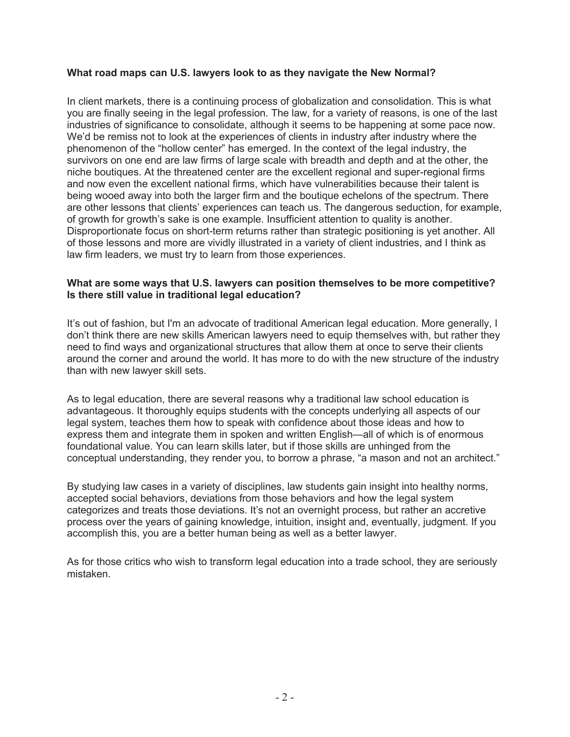## **What road maps can U.S. lawyers look to as they navigate the New Normal?**

In client markets, there is a continuing process of globalization and consolidation. This is what you are finally seeing in the legal profession. The law, for a variety of reasons, is one of the last industries of significance to consolidate, although it seems to be happening at some pace now. We'd be remiss not to look at the experiences of clients in industry after industry where the phenomenon of the "hollow center" has emerged. In the context of the legal industry, the survivors on one end are law firms of large scale with breadth and depth and at the other, the niche boutiques. At the threatened center are the excellent regional and super-regional firms and now even the excellent national firms, which have vulnerabilities because their talent is being wooed away into both the larger firm and the boutique echelons of the spectrum. There are other lessons that clients' experiences can teach us. The dangerous seduction, for example, of growth for growth's sake is one example. Insufficient attention to quality is another. Disproportionate focus on short-term returns rather than strategic positioning is yet another. All of those lessons and more are vividly illustrated in a variety of client industries, and I think as law firm leaders, we must try to learn from those experiences.

#### **What are some ways that U.S. lawyers can position themselves to be more competitive? Is there still value in traditional legal education?**

It's out of fashion, but I'm an advocate of traditional American legal education. More generally, I don't think there are new skills American lawyers need to equip themselves with, but rather they need to find ways and organizational structures that allow them at once to serve their clients around the corner and around the world. It has more to do with the new structure of the industry than with new lawyer skill sets.

As to legal education, there are several reasons why a traditional law school education is advantageous. It thoroughly equips students with the concepts underlying all aspects of our legal system, teaches them how to speak with confidence about those ideas and how to express them and integrate them in spoken and written English—all of which is of enormous foundational value. You can learn skills later, but if those skills are unhinged from the conceptual understanding, they render you, to borrow a phrase, "a mason and not an architect."

By studying law cases in a variety of disciplines, law students gain insight into healthy norms, accepted social behaviors, deviations from those behaviors and how the legal system categorizes and treats those deviations. It's not an overnight process, but rather an accretive process over the years of gaining knowledge, intuition, insight and, eventually, judgment. If you accomplish this, you are a better human being as well as a better lawyer.

As for those critics who wish to transform legal education into a trade school, they are seriously mistaken.